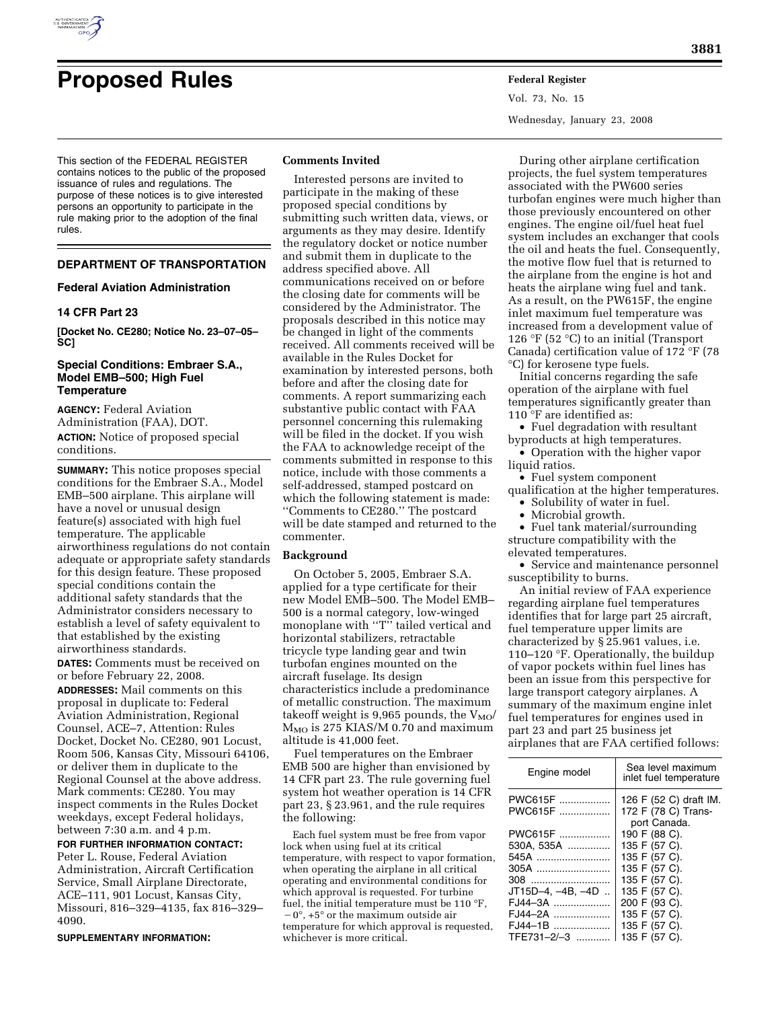

# **Proposed Rules Federal Register**

This section of the FEDERAL REGISTER contains notices to the public of the proposed issuance of rules and regulations. The purpose of these notices is to give interested persons an opportunity to participate in the rule making prior to the adoption of the final rules.

## **DEPARTMENT OF TRANSPORTATION**

#### **Federal Aviation Administration**

#### **14 CFR Part 23**

**[Docket No. CE280; Notice No. 23–07–05– SC]** 

#### **Special Conditions: Embraer S.A., Model EMB–500; High Fuel Temperature**

**AGENCY:** Federal Aviation Administration (FAA), DOT. **ACTION:** Notice of proposed special conditions.

**SUMMARY:** This notice proposes special conditions for the Embraer S.A., Model EMB–500 airplane. This airplane will have a novel or unusual design feature(s) associated with high fuel temperature. The applicable airworthiness regulations do not contain adequate or appropriate safety standards for this design feature. These proposed special conditions contain the additional safety standards that the Administrator considers necessary to establish a level of safety equivalent to that established by the existing airworthiness standards.

**DATES:** Comments must be received on or before February 22, 2008.

**ADDRESSES:** Mail comments on this proposal in duplicate to: Federal Aviation Administration, Regional Counsel, ACE–7, Attention: Rules Docket, Docket No. CE280, 901 Locust, Room 506, Kansas City, Missouri 64106, or deliver them in duplicate to the Regional Counsel at the above address. Mark comments: CE280. You may inspect comments in the Rules Docket weekdays, except Federal holidays, between 7:30 a.m. and 4 p.m.

**FOR FURTHER INFORMATION CONTACT:**  Peter L. Rouse, Federal Aviation Administration, Aircraft Certification Service, Small Airplane Directorate, ACE–111, 901 Locust, Kansas City, Missouri, 816–329–4135, fax 816–329– 4090.

**SUPPLEMENTARY INFORMATION:** 

#### **Comments Invited**

Interested persons are invited to participate in the making of these proposed special conditions by submitting such written data, views, or arguments as they may desire. Identify the regulatory docket or notice number and submit them in duplicate to the address specified above. All communications received on or before the closing date for comments will be considered by the Administrator. The proposals described in this notice may be changed in light of the comments received. All comments received will be available in the Rules Docket for examination by interested persons, both before and after the closing date for comments. A report summarizing each substantive public contact with FAA personnel concerning this rulemaking will be filed in the docket. If you wish the FAA to acknowledge receipt of the comments submitted in response to this notice, include with those comments a self-addressed, stamped postcard on which the following statement is made: ''Comments to CE280.'' The postcard will be date stamped and returned to the commenter.

#### **Background**

On October 5, 2005, Embraer S.A. applied for a type certificate for their new Model EMB–500. The Model EMB– 500 is a normal category, low-winged monoplane with "T" tailed vertical and horizontal stabilizers, retractable tricycle type landing gear and twin turbofan engines mounted on the aircraft fuselage. Its design characteristics include a predominance of metallic construction. The maximum takeoff weight is 9,965 pounds, the  $V_{MO}$  $M_{MO}$  is 275 KIAS/M 0.70 and maximum altitude is 41,000 feet.

Fuel temperatures on the Embraer EMB 500 are higher than envisioned by 14 CFR part 23. The rule governing fuel system hot weather operation is 14 CFR part 23, § 23.961, and the rule requires the following:

Each fuel system must be free from vapor lock when using fuel at its critical temperature, with respect to vapor formation, when operating the airplane in all critical operating and environmental conditions for which approval is requested. For turbine fuel, the initial temperature must be 110 °F,  $-0^\circ$ ,  $+5^\circ$  or the maximum outside air temperature for which approval is requested, whichever is more critical.

Vol. 73, No. 15 Wednesday, January 23, 2008

During other airplane certification projects, the fuel system temperatures associated with the PW600 series turbofan engines were much higher than those previously encountered on other engines. The engine oil/fuel heat fuel system includes an exchanger that cools the oil and heats the fuel. Consequently, the motive flow fuel that is returned to the airplane from the engine is hot and heats the airplane wing fuel and tank. As a result, on the PW615F, the engine inlet maximum fuel temperature was increased from a development value of 126 °F (52 °C) to an initial (Transport Canada) certification value of 172 °F (78 °C) for kerosene type fuels.

Initial concerns regarding the safe operation of the airplane with fuel temperatures significantly greater than 110 °F are identified as:

• Fuel degradation with resultant byproducts at high temperatures.

• Operation with the higher vapor liquid ratios.

• Fuel system component

qualification at the higher temperatures. • Solubility of water in fuel.

• Microbial growth.

• Fuel tank material/surrounding structure compatibility with the elevated temperatures.

• Service and maintenance personnel susceptibility to burns.

An initial review of FAA experience regarding airplane fuel temperatures identifies that for large part 25 aircraft, fuel temperature upper limits are characterized by § 25.961 values, i.e. 110–120 °F. Operationally, the buildup of vapor pockets within fuel lines has been an issue from this perspective for large transport category airplanes. A summary of the maximum engine inlet fuel temperatures for engines used in part 23 and part 25 business jet airplanes that are FAA certified follows:

| Engine model      | Sea level maximum<br>inlet fuel temperature |
|-------------------|---------------------------------------------|
| PWC615F           | 126 F (52 C) draft IM.                      |
| PWC615F           | 172 F (78 C) Trans-                         |
|                   | port Canada.                                |
| PWC615F           | 190 F (88 C).                               |
| 530A, 535A        | 135 F (57 C).                               |
| 545A              | 135 F (57 C).                               |
| 305A              | 135 F (57 C).                               |
| 308               | 135 F (57 C).                               |
| JT15D-4, -4B, -4D | 135 F (57 C).                               |
| FJ44-3A           | 200 F (93 C).                               |
| FJ44-2A           | 135 F (57 C).                               |
| FJ44-1B           | 135 F (57 C).                               |
| TFE731-2/-3       | 135 F (57 C).                               |